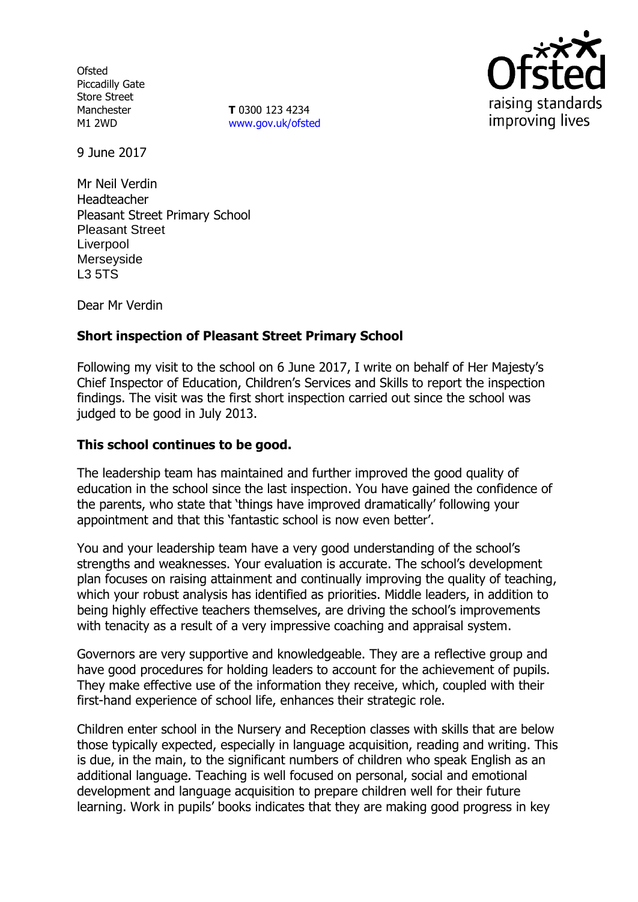**Ofsted** Piccadilly Gate Store Street Manchester M1 2WD

**T** 0300 123 4234 [www.gov.uk/ofsted](http://www.gov.uk/ofsted)



9 June 2017

Mr Neil Verdin Headteacher Pleasant Street Primary School Pleasant Street Liverpool Merseyside L3 5TS

Dear Mr Verdin

# **Short inspection of Pleasant Street Primary School**

Following my visit to the school on 6 June 2017, I write on behalf of Her Majesty's Chief Inspector of Education, Children's Services and Skills to report the inspection findings. The visit was the first short inspection carried out since the school was judged to be good in July 2013.

# **This school continues to be good.**

The leadership team has maintained and further improved the good quality of education in the school since the last inspection. You have gained the confidence of the parents, who state that 'things have improved dramatically' following your appointment and that this 'fantastic school is now even better'.

You and your leadership team have a very good understanding of the school's strengths and weaknesses. Your evaluation is accurate. The school's development plan focuses on raising attainment and continually improving the quality of teaching, which your robust analysis has identified as priorities. Middle leaders, in addition to being highly effective teachers themselves, are driving the school's improvements with tenacity as a result of a very impressive coaching and appraisal system.

Governors are very supportive and knowledgeable. They are a reflective group and have good procedures for holding leaders to account for the achievement of pupils. They make effective use of the information they receive, which, coupled with their first-hand experience of school life, enhances their strategic role.

Children enter school in the Nursery and Reception classes with skills that are below those typically expected, especially in language acquisition, reading and writing. This is due, in the main, to the significant numbers of children who speak English as an additional language. Teaching is well focused on personal, social and emotional development and language acquisition to prepare children well for their future learning. Work in pupils' books indicates that they are making good progress in key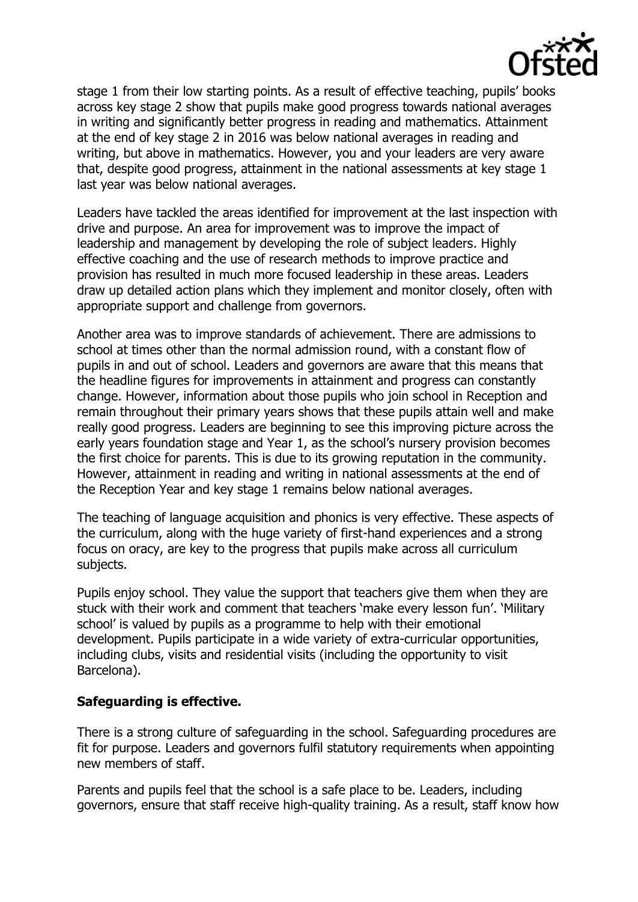

stage 1 from their low starting points. As a result of effective teaching, pupils' books across key stage 2 show that pupils make good progress towards national averages in writing and significantly better progress in reading and mathematics. Attainment at the end of key stage 2 in 2016 was below national averages in reading and writing, but above in mathematics. However, you and your leaders are very aware that, despite good progress, attainment in the national assessments at key stage 1 last year was below national averages.

Leaders have tackled the areas identified for improvement at the last inspection with drive and purpose. An area for improvement was to improve the impact of leadership and management by developing the role of subject leaders. Highly effective coaching and the use of research methods to improve practice and provision has resulted in much more focused leadership in these areas. Leaders draw up detailed action plans which they implement and monitor closely, often with appropriate support and challenge from governors.

Another area was to improve standards of achievement. There are admissions to school at times other than the normal admission round, with a constant flow of pupils in and out of school. Leaders and governors are aware that this means that the headline figures for improvements in attainment and progress can constantly change. However, information about those pupils who join school in Reception and remain throughout their primary years shows that these pupils attain well and make really good progress. Leaders are beginning to see this improving picture across the early years foundation stage and Year 1, as the school's nursery provision becomes the first choice for parents. This is due to its growing reputation in the community. However, attainment in reading and writing in national assessments at the end of the Reception Year and key stage 1 remains below national averages.

The teaching of language acquisition and phonics is very effective. These aspects of the curriculum, along with the huge variety of first-hand experiences and a strong focus on oracy, are key to the progress that pupils make across all curriculum subjects.

Pupils enjoy school. They value the support that teachers give them when they are stuck with their work and comment that teachers 'make every lesson fun'. 'Military school' is valued by pupils as a programme to help with their emotional development. Pupils participate in a wide variety of extra-curricular opportunities, including clubs, visits and residential visits (including the opportunity to visit Barcelona).

# **Safeguarding is effective.**

There is a strong culture of safeguarding in the school. Safeguarding procedures are fit for purpose. Leaders and governors fulfil statutory requirements when appointing new members of staff.

Parents and pupils feel that the school is a safe place to be. Leaders, including governors, ensure that staff receive high-quality training. As a result, staff know how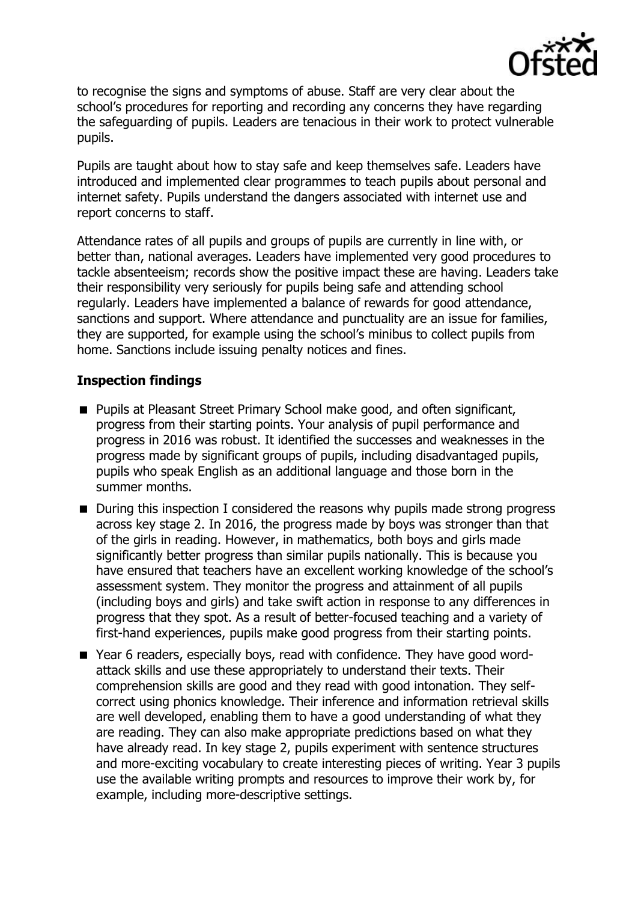

to recognise the signs and symptoms of abuse. Staff are very clear about the school's procedures for reporting and recording any concerns they have regarding the safeguarding of pupils. Leaders are tenacious in their work to protect vulnerable pupils.

Pupils are taught about how to stay safe and keep themselves safe. Leaders have introduced and implemented clear programmes to teach pupils about personal and internet safety. Pupils understand the dangers associated with internet use and report concerns to staff.

Attendance rates of all pupils and groups of pupils are currently in line with, or better than, national averages. Leaders have implemented very good procedures to tackle absenteeism; records show the positive impact these are having. Leaders take their responsibility very seriously for pupils being safe and attending school regularly. Leaders have implemented a balance of rewards for good attendance, sanctions and support. Where attendance and punctuality are an issue for families, they are supported, for example using the school's minibus to collect pupils from home. Sanctions include issuing penalty notices and fines.

### **Inspection findings**

- **Pupils at Pleasant Street Primary School make good, and often significant,** progress from their starting points. Your analysis of pupil performance and progress in 2016 was robust. It identified the successes and weaknesses in the progress made by significant groups of pupils, including disadvantaged pupils, pupils who speak English as an additional language and those born in the summer months.
- During this inspection I considered the reasons why pupils made strong progress across key stage 2. In 2016, the progress made by boys was stronger than that of the girls in reading. However, in mathematics, both boys and girls made significantly better progress than similar pupils nationally. This is because you have ensured that teachers have an excellent working knowledge of the school's assessment system. They monitor the progress and attainment of all pupils (including boys and girls) and take swift action in response to any differences in progress that they spot. As a result of better-focused teaching and a variety of first-hand experiences, pupils make good progress from their starting points.
- Year 6 readers, especially boys, read with confidence. They have good wordattack skills and use these appropriately to understand their texts. Their comprehension skills are good and they read with good intonation. They selfcorrect using phonics knowledge. Their inference and information retrieval skills are well developed, enabling them to have a good understanding of what they are reading. They can also make appropriate predictions based on what they have already read. In key stage 2, pupils experiment with sentence structures and more-exciting vocabulary to create interesting pieces of writing. Year 3 pupils use the available writing prompts and resources to improve their work by, for example, including more-descriptive settings.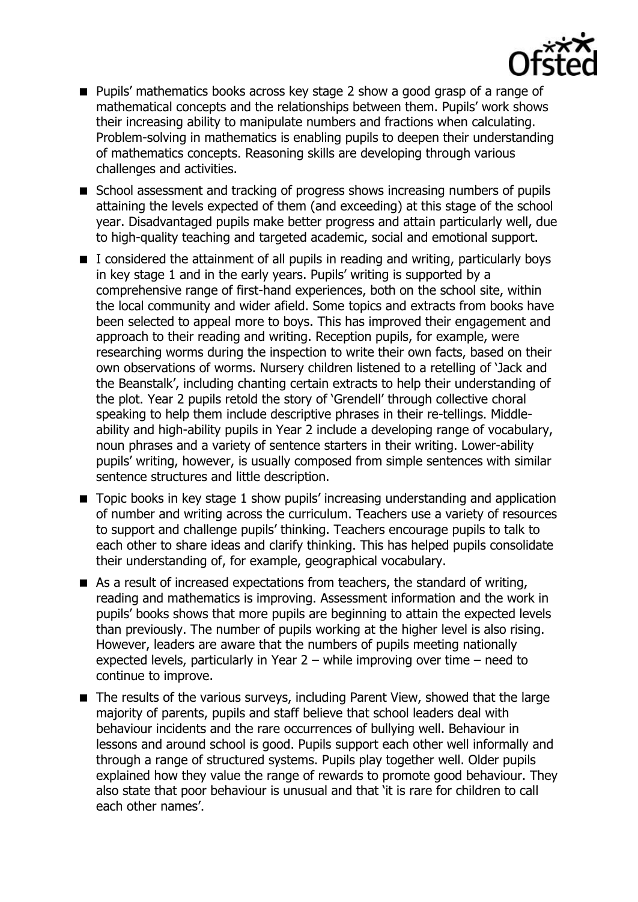

- **Pupils'** mathematics books across key stage 2 show a good grasp of a range of mathematical concepts and the relationships between them. Pupils' work shows their increasing ability to manipulate numbers and fractions when calculating. Problem-solving in mathematics is enabling pupils to deepen their understanding of mathematics concepts. Reasoning skills are developing through various challenges and activities.
- School assessment and tracking of progress shows increasing numbers of pupils attaining the levels expected of them (and exceeding) at this stage of the school year. Disadvantaged pupils make better progress and attain particularly well, due to high-quality teaching and targeted academic, social and emotional support.
- I considered the attainment of all pupils in reading and writing, particularly boys in key stage 1 and in the early years. Pupils' writing is supported by a comprehensive range of first-hand experiences, both on the school site, within the local community and wider afield. Some topics and extracts from books have been selected to appeal more to boys. This has improved their engagement and approach to their reading and writing. Reception pupils, for example, were researching worms during the inspection to write their own facts, based on their own observations of worms. Nursery children listened to a retelling of 'Jack and the Beanstalk', including chanting certain extracts to help their understanding of the plot. Year 2 pupils retold the story of 'Grendell' through collective choral speaking to help them include descriptive phrases in their re-tellings. Middleability and high-ability pupils in Year 2 include a developing range of vocabulary, noun phrases and a variety of sentence starters in their writing. Lower-ability pupils' writing, however, is usually composed from simple sentences with similar sentence structures and little description.
- Topic books in key stage 1 show pupils' increasing understanding and application of number and writing across the curriculum. Teachers use a variety of resources to support and challenge pupils' thinking. Teachers encourage pupils to talk to each other to share ideas and clarify thinking. This has helped pupils consolidate their understanding of, for example, geographical vocabulary.
- As a result of increased expectations from teachers, the standard of writing, reading and mathematics is improving. Assessment information and the work in pupils' books shows that more pupils are beginning to attain the expected levels than previously. The number of pupils working at the higher level is also rising. However, leaders are aware that the numbers of pupils meeting nationally expected levels, particularly in Year 2 – while improving over time – need to continue to improve.
- The results of the various surveys, including Parent View, showed that the large majority of parents, pupils and staff believe that school leaders deal with behaviour incidents and the rare occurrences of bullying well. Behaviour in lessons and around school is good. Pupils support each other well informally and through a range of structured systems. Pupils play together well. Older pupils explained how they value the range of rewards to promote good behaviour. They also state that poor behaviour is unusual and that 'it is rare for children to call each other names'.